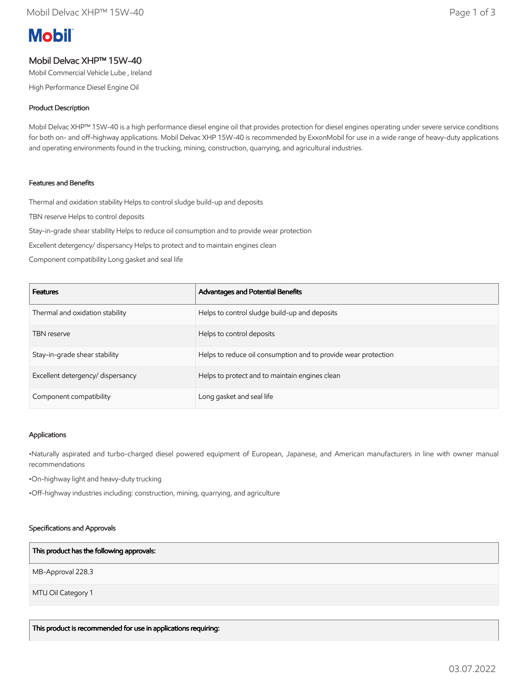# **Mobil**

# Mobil Delvac XHP™ 15W-40

Mobil Commercial Vehicle Lube , Ireland

High Performance Diesel Engine Oil

# Product Description

Mobil Delvac XHP™ 15W-40 is a high performance diesel engine oil that provides protection for diesel engines operating under severe service conditions for both on- and off-highway applications. Mobil Delvac XHP 15W-40 is recommended by ExxonMobil for use in a wide range of heavy-duty applications and operating environments found in the trucking, mining, construction, quarrying, and agricultural industries.

## Features and Benefits

Thermal and oxidation stability Helps to control sludge build-up and deposits

TBN reserve Helps to control deposits

Stay-in-grade shear stability Helps to reduce oil consumption and to provide wear protection

Excellent detergency/ dispersancy Helps to protect and to maintain engines clean

Component compatibility Long gasket and seal life

| <b>Features</b>                   | Advantages and Potential Benefits                              |
|-----------------------------------|----------------------------------------------------------------|
| Thermal and oxidation stability   | Helps to control sludge build-up and deposits                  |
| <b>TBN</b> reserve                | Helps to control deposits                                      |
| Stay-in-grade shear stability     | Helps to reduce oil consumption and to provide wear protection |
| Excellent detergency/ dispersancy | Helps to protect and to maintain engines clean                 |
| Component compatibility           | Long gasket and seal life                                      |

#### Applications

•Naturally aspirated and turbo-charged diesel powered equipment of European, Japanese, and American manufacturers in line with owner manual recommendations

•On-highway light and heavy-duty trucking

•Off-highway industries including: construction, mining, quarrying, and agriculture

#### Specifications and Approvals

#### This product has the following approvals:

MB-Approval 228.3

MTU Oil Category 1

This product is recommended for use in applications requiring: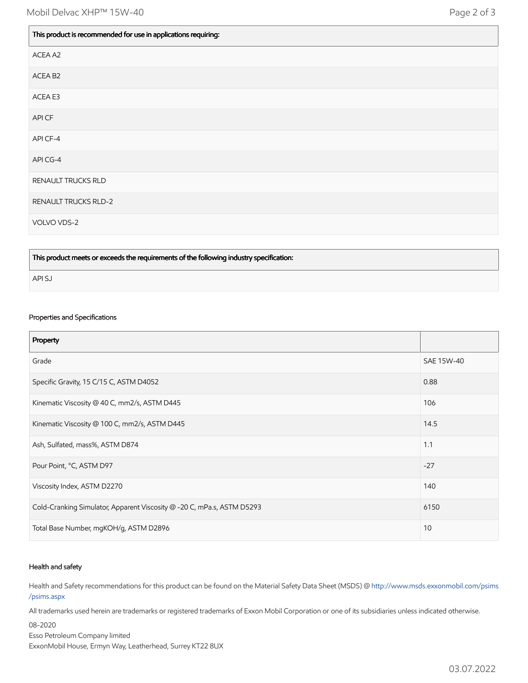| This product is recommended for use in applications requiring: |  |
|----------------------------------------------------------------|--|
| ACEA A2                                                        |  |
| ACEA B <sub>2</sub>                                            |  |
| ACEA E3                                                        |  |
| API CF                                                         |  |
| API CF-4                                                       |  |
| API CG-4                                                       |  |
| RENAULT TRUCKS RLD                                             |  |
| <b>RENAULT TRUCKS RLD-2</b>                                    |  |
| VOLVO VDS-2                                                    |  |

This product meets or exceeds the requirements of the following industry specification:

API SJ

### Properties and Specifications

| Property                                                               |            |
|------------------------------------------------------------------------|------------|
| Grade                                                                  | SAE 15W-40 |
| Specific Gravity, 15 C/15 C, ASTM D4052                                | 0.88       |
| Kinematic Viscosity @ 40 C, mm2/s, ASTM D445                           | 106        |
| Kinematic Viscosity @ 100 C, mm2/s, ASTM D445                          | 14.5       |
| Ash, Sulfated, mass%, ASTM D874                                        | 1.1        |
| Pour Point, °C, ASTM D97                                               | $-27$      |
| Viscosity Index, ASTM D2270                                            | 140        |
| Cold-Cranking Simulator, Apparent Viscosity @ -20 C, mPa.s, ASTM D5293 | 6150       |
| Total Base Number, mgKOH/g, ASTM D2896                                 | 10         |

#### Health and safety

Health and Safety recommendations for this product can be found on the Material Safety Data Sheet (MSDS) @ [http://www.msds.exxonmobil.com/psims](http://www.msds.exxonmobil.com/psims/psims.aspx) /psims.aspx

All trademarks used herein are trademarks or registered trademarks of Exxon Mobil Corporation or one of its subsidiaries unless indicated otherwise.

08-2020 Esso Petroleum Company limited ExxonMobil House, Ermyn Way, Leatherhead, Surrey KT22 8UX